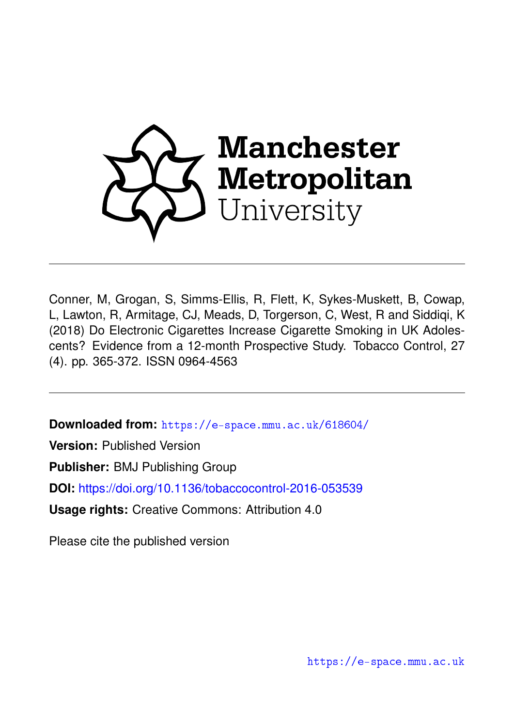

Conner, M, Grogan, S, Simms-Ellis, R, Flett, K, Sykes-Muskett, B, Cowap, L, Lawton, R, Armitage, CJ, Meads, D, Torgerson, C, West, R and Siddiqi, K (2018) Do Electronic Cigarettes Increase Cigarette Smoking in UK Adolescents? Evidence from a 12-month Prospective Study. Tobacco Control, 27 (4). pp. 365-372. ISSN 0964-4563

**Downloaded from:** <https://e-space.mmu.ac.uk/618604/>

**Version:** Published Version

**Publisher:** BMJ Publishing Group

**DOI:** <https://doi.org/10.1136/tobaccocontrol-2016-053539>

**Usage rights:** Creative Commons: Attribution 4.0

Please cite the published version

<https://e-space.mmu.ac.uk>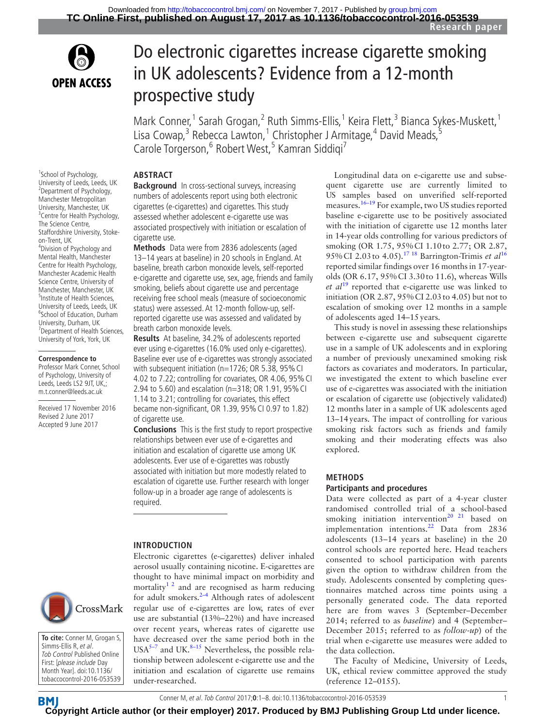

# Do electronic cigarettes increase cigarette smoking in UK adolescents? Evidence from a 12-month prospective study

Mark Conner,<sup>1</sup> Sarah Grogan,<sup>2</sup> Ruth Simms-Ellis,<sup>1</sup> Keira Flett,<sup>3</sup> Bianca Sykes-Muskett,<sup>1</sup> Lisa Cowap,<sup>3</sup> Rebecca Lawton,<sup>1</sup> Christopher J Armitage,<sup>4</sup> David Meads,<sup>5</sup> Carole Torgerson,<sup>6</sup> Robert West,<sup>5</sup> Kamran Siddiqi<sup>7</sup>

#### **Abstract**

<sup>1</sup>School of Psychology, University of Leeds, Leeds, UK <sup>2</sup>Department of Psychology, Manchester Metropolitan University, Manchester, UK <sup>3</sup> Centre for Health Psychology, The Science Centre, Staffordshire University, Stokeon-Trent, UK 4 Division of Psychology and Mental Health, Manchester Centre for Health Psychology, Manchester Academic Health Science Centre, University of Manchester, Manchester, UK 5 Institute of Health Sciences, University of Leeds, Leeds, UK 6 School of Education, Durham University, Durham, UK 7 Department of Health Sciences, University of York, York, UK

#### **Correspondence to**

Professor Mark Conner, School of Psychology, University of Leeds, Leeds LS2 9JT, UK,; m.t.conner@leeds.ac.uk

Received 17 November 2016 Revised 2 June 2017 Accepted 9 June 2017



**Methods** Data were from 2836 adolescents (aged 13–14 years at baseline) in 20 schools in England. At baseline, breath carbon monoxide levels, self-reported e-cigarette and cigarette use, sex, age, friends and family smoking, beliefs about cigarette use and percentage receiving free school meals (measure of socioeconomic status) were assessed. At 12-month follow-up, selfreported cigarette use was assessed and validated by breath carbon monoxide levels.

**Results** At baseline, 34.2% of adolescents reported ever using e-cigarettes (16.0% used only e-cigarettes). Baseline ever use of e-cigarettes was strongly associated with subsequent initiation (n=1726; OR 5.38, 95% CI 4.02 to 7.22; controlling for covariates, OR 4.06, 95% CI 2.94 to 5.60) and escalation (n=318; OR 1.91, 95% CI

1.14 to 3.21; controlling for covariates, this effect became non-significant, OR 1.39, 95%CI 0.97 to 1.82) of cigarette use.

**Conclusions** This is the first study to report prospective relationships between ever use of e-cigarettes and initiation and escalation of cigarette use among UK adolescents. Ever use of e-cigarettes was robustly associated with initiation but more modestly related to escalation of cigarette use. Further research with longer follow-up in a broader age range of adolescents is required.

#### **Introduction**

Electronic cigarettes (e-cigarettes) deliver inhaled aerosol usually containing nicotine. E-cigarettes are thought to have minimal impact on morbidity and mortality<sup>12</sup> and are recognised as harm reducing for adult smokers.<sup>2-4</sup> Although rates of adolescent regular use of e-cigarettes are low, rates of ever use are substantial (13%–22%) and have increased over recent years, whereas rates of cigarette use have decreased over the same period both in the  $USA<sup>5-7</sup>$  and UK.<sup>8-15</sup> Nevertheless, the possible relationship between adolescent e-cigarette use and the initiation and escalation of cigarette use remains under-researched.

Longitudinal data on e-cigarette use and subsequent cigarette use are currently limited to US samples based on unverified self-reported measures.<sup>16–19</sup> For example, two US studies reported baseline e-cigarette use to be positively associated with the initiation of cigarette use 12 months later in 14-year olds controlling for various predictors of smoking (OR 1.75, 95%CI 1.10to 2.77; OR 2.87, 95%CI 2.03to 4.05)[.17 18](#page-7-5) Barrington-Trimis *et al*[16](#page-7-4) reported similar findings over 16 months in 17-yearolds (OR 6.17, 95%CI 3.30to 11.6), whereas Wills *et al*[19](#page-7-6) reported that e-cigarette use was linked to initiation (OR 2.87,  $95\%$  CI 2.03 to 4.05) but not to escalation of smoking over 12 months in a sample of adolescents aged 14–15years.

This study is novel in assessing these relationships between e-cigarette use and subsequent cigarette use in a sample of UK adolescents and in exploring a number of previously unexamined smoking risk factors as covariates and moderators. In particular, we investigated the extent to which baseline ever use of e-cigarettes was associated with the initiation or escalation of cigarette use (objectively validated) 12 months later in a sample of UK adolescents aged 13–14years. The impact of controlling for various smoking risk factors such as friends and family smoking and their moderating effects was also explored.

#### **Methods**

#### **Participants and procedures**

Data were collected as part of a 4-year cluster randomised controlled trial of a school-based smoking initiation intervention<sup>[20 21](#page-7-7)</sup> based on implementation intentions.<sup>22</sup> Data from 2836 adolescents (13–14 years at baseline) in the 20 control schools are reported here. Head teachers consented to school participation with parents given the option to withdraw children from the study. Adolescents consented by completing questionnaires matched across time points using a personally generated code. The data reported here are from waves 3 (September–December 2014; referred to as *baseline*) and 4 (September– December 2015; referred to as *follow-up*) of the trial when e-cigarette use measures were added to the data collection.

The Faculty of Medicine, University of Leeds, UK, ethical review committee approved the study (reference 12–0155).



**To cite:** Conner M, Grogan S, Simms-Ellis R, et al. Tob Control Published Online First: [please include Day Month Year]. doi:10.1136/ tobaccocontrol-2016-053539

Conner M, et al. Tob Control 2017;**0**:1–8. doi:10.1136/tobaccocontrol-2016-053539 1

**BM [Cop](http://tobaccocontrol.bmj.com/)yright Article author (or their employer) 2017. Produced by BMJ Publishing Group Ltd under licence.**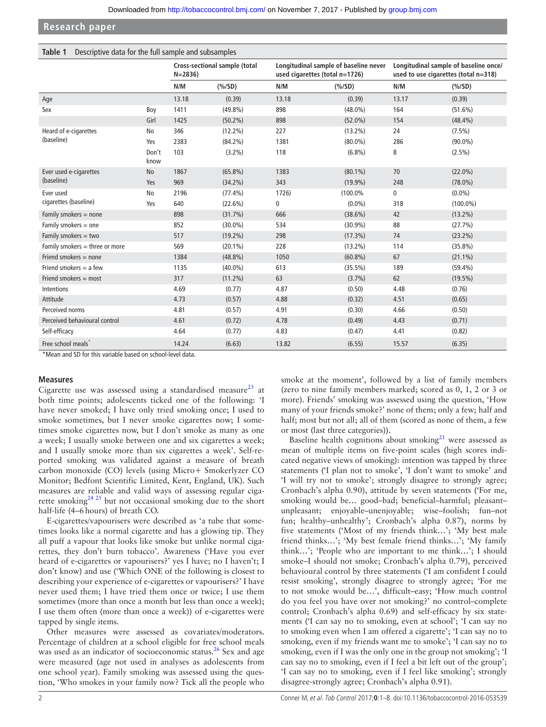<span id="page-2-0"></span>

|  | Table 1 Descriptive data for the full sample and subsamples |
|--|-------------------------------------------------------------|
|--|-------------------------------------------------------------|

|                                                                |               | Cross-sectional sample (total<br>$N = 2836$ |                     |       | Longitudinal sample of baseline never<br>used cigarettes (total n=1726) |       | Longitudinal sample of baseline once/<br>used to use cigarettes (total n=318) |  |
|----------------------------------------------------------------|---------------|---------------------------------------------|---------------------|-------|-------------------------------------------------------------------------|-------|-------------------------------------------------------------------------------|--|
|                                                                |               | N/M                                         | $(\frac{9}{6}$ /SD) | N/M   | $(\frac{9}{6}$ /SD)                                                     | N/M   | (%/SD)                                                                        |  |
| Age                                                            |               | 13.18                                       | (0.39)              | 13.18 | (0.39)                                                                  | 13.17 | (0.39)                                                                        |  |
| Sex                                                            | Boy           | 1411                                        | $(49.8\%)$          | 898   | $(48.0\%)$                                                              | 164   | $(51.6\%)$                                                                    |  |
|                                                                | Girl          | 1425                                        | $(50.2\%)$          | 898   | $(52.0\%)$                                                              | 154   | $(48.4\%)$                                                                    |  |
| Heard of e-cigarettes                                          | No            | 346                                         | $(12.2\%)$          | 227   | $(13.2\%)$                                                              | 24    | $(7.5\%)$                                                                     |  |
| (baseline)                                                     | Yes           | 2383                                        | $(84.2\%)$          | 1381  | $(80.0\%)$                                                              | 286   | $(90.0\%)$                                                                    |  |
|                                                                | Don't<br>know | 103                                         | $(3.2\%)$           | 118   | $(6.8\%)$                                                               | 8     | $(2.5\%)$                                                                     |  |
| Ever used e-cigarettes                                         | No            | 1867                                        | $(65.8\%)$          | 1383  | $(80.1\%)$                                                              | 70    | $(22.0\%)$                                                                    |  |
| (baseline)                                                     | Yes           | 969                                         | $(34.2\%)$          | 343   | $(19.9\%)$                                                              | 248   | $(78.0\%)$                                                                    |  |
| Ever used                                                      | No            | 2196                                        | $(77.4\%)$          | 1726) | $(100.0\%$                                                              | 0     | $(0.0\%)$                                                                     |  |
| cigarettes (baseline)                                          | Yes           | 640                                         | $(22.6\%)$          | 0     | $(0.0\%)$                                                               | 318   | $(100.0\%)$                                                                   |  |
| Family smokers $=$ none                                        |               | 898                                         | (31.7%)             | 666   | (38.6%)                                                                 | 42    | $(13.2\%)$                                                                    |  |
| Family smokers $=$ one                                         |               | 852                                         | $(30.0\%)$          | 534   | $(30.9\%)$                                                              | 88    | $(27.7\%)$                                                                    |  |
| Family smokers $=$ two                                         |               | 517                                         | $(19.2\%)$          | 298   | $(17.3\%)$                                                              | 74    | $(23.2\%)$                                                                    |  |
| Family smokers $=$ three or more                               |               | 569                                         | $(20.1\%)$          | 228   | $(13.2\%)$                                                              | 114   | $(35.8\%)$                                                                    |  |
| Friend smokers $=$ none                                        |               | 1384                                        | $(48.8\%)$          | 1050  | $(60.8\%)$                                                              | 67    | $(21.1\%)$                                                                    |  |
| Friend smokers $=$ a few                                       |               | 1135                                        | $(40.0\%)$          | 613   | $(35.5\%)$                                                              | 189   | $(59.4\%)$                                                                    |  |
| Friend smokers $=$ most                                        |               | 317                                         | $(11.2\%)$          | 63    | (3.7%)                                                                  | 62    | $(19.5\%)$                                                                    |  |
| Intentions                                                     |               | 4.69                                        | (0.77)              | 4.87  | (0.50)                                                                  | 4.48  | (0.76)                                                                        |  |
| Attitude                                                       |               | 4.73                                        | (0.57)              | 4.88  | (0.32)                                                                  | 4.51  | (0.65)                                                                        |  |
| Perceived norms                                                |               | 4.81                                        | (0.57)              | 4.91  | (0.30)                                                                  | 4.66  | (0.50)                                                                        |  |
| Perceived behavioural control                                  |               | 4.61                                        | (0.72)              | 4.78  | (0.49)                                                                  | 4.43  | (0.71)                                                                        |  |
| Self-efficacy                                                  |               | 4.64                                        | (0.77)              | 4.83  | (0.47)                                                                  | 4.41  | (0.82)                                                                        |  |
| Free school meals <sup>*</sup><br>and chaften the contribution |               | 14.24<br>وماد المحمدا المحمدا               | (6.63)              | 13.82 | (6.55)                                                                  | 15.57 | (6.35)                                                                        |  |

Mean and SD for this variable based on school-level data.

#### **Measures**

Cigarette use was assessed using a standardised measure<sup>23</sup> at both time points; adolescents ticked one of the following: 'I have never smoked; I have only tried smoking once; I used to smoke sometimes, but I never smoke cigarettes now; I sometimes smoke cigarettes now, but I don't smoke as many as one a week; I usually smoke between one and six cigarettes a week; and I usually smoke more than six cigarettes a week'. Self-reported smoking was validated against a measure of breath carbon monoxide (CO) levels (using Micro+ Smokerlyzer CO Monitor; Bedfont Scientific Limited, Kent, England, UK). Such measures are reliable and valid ways of assessing regular cigarette smoking<sup>24 25</sup> but not occasional smoking due to the short half-life (4–6hours) of breath CO.

E-cigarettes/vapourisers were described as 'a tube that sometimes looks like a normal cigarette and has a glowing tip. They all puff a vapour that looks like smoke but unlike normal cigarettes, they don't burn tobacco'. Awareness ('Have you ever heard of e-cigarettes or vapourisers?' yes I have; no I haven't; I don't know) and use ('Which ONE of the following is closest to describing your experience of e-cigarettes or vapourisers?' I have never used them; I have tried them once or twice; I use them sometimes (more than once a month but less than once a week); I use them often (more than once a week)) of e-cigarettes were tapped by single items.

Other measures were assessed as covariates/moderators. Percentage of children at a school eligible for free school meals was used as an indicator of socioeconomic status.<sup>26</sup> Sex and age were measured (age not used in analyses as adolescents from one school year). Family smoking was assessed using the question, 'Who smokes in your family now? Tick all the people who

smoke at the moment', followed by a list of family members (zero to nine family members marked; scored as 0, 1, 2 or 3 or more). Friends' smoking was assessed using the question, 'How many of your friends smoke?' none of them; only a few; half and half; most but not all; all of them (scored as none of them, a few or most (last three categories)).

Baseline health cognitions about smoking $21$  were assessed as mean of multiple items on five-point scales (high scores indicated negative views of smoking): intention was tapped by three statements ('I plan not to smoke', 'I don't want to smoke' and 'I will try not to smoke'; strongly disagree to strongly agree; Cronbach's alpha 0.90), attitude by seven statements ('For me, smoking would be… good–bad; beneficial–harmful; pleasant– unpleasant; enjoyable–unenjoyable; wise–foolish; fun–not fun; healthy–unhealthy'; Cronbach's alpha 0.87), norms by five statements ('Most of my friends think…'; 'My best male friend thinks…'; 'My best female friend thinks…'; 'My family think…'; 'People who are important to me think…'; I should smoke–I should not smoke; Cronbach's alpha 0.79), perceived behavioural control by three statements ('I am confident I could resist smoking', strongly disagree to strongly agree; 'For me to not smoke would be…', difficult–easy; 'How much control do you feel you have over not smoking?' no control–complete control; Cronbach's alpha 0.69) and self-efficacy by six statements ('I can say no to smoking, even at school'; 'I can say no to smoking even when I am offered a cigarette'; 'I can say no to smoking, even if my friends want me to smoke'; 'I can say no to smoking, even if I was the only one in the group not smoking'; 'I can say no to smoking, even if I feel a bit left out of the group'; 'I can say no to smoking, even if I feel like smoking'; strongly disagree-strongly agree; Cronbach's alpha 0.91).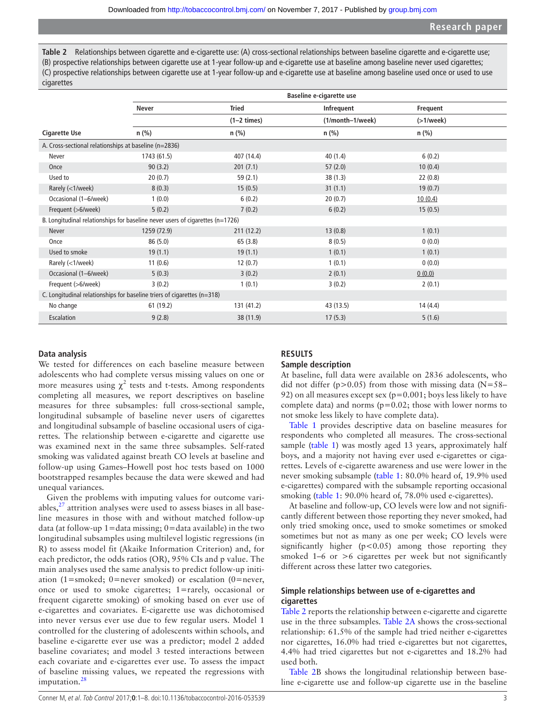<span id="page-3-0"></span>**Table 2** Relationships between cigarette and e-cigarette use: (A) cross-sectional relationships between baseline cigarette and e-cigarette use; (B) prospective relationships between cigarette use at 1-year follow-up and e-cigarette use at baseline among baseline never used cigarettes; (C) prospective relationships between cigarette use at 1-year follow-up and e-cigarette use at baseline among baseline used once or used to use cigarettes

|                                                                               | <b>Baseline e-cigarette use</b> |                |                  |                 |  |
|-------------------------------------------------------------------------------|---------------------------------|----------------|------------------|-----------------|--|
|                                                                               | <b>Never</b>                    | <b>Tried</b>   | Infrequent       | Frequent        |  |
|                                                                               |                                 | $(1-2 \times)$ | (1/month-1/week) | $($ >1/week $)$ |  |
| <b>Cigarette Use</b>                                                          | $n$ (%)                         | $n$ (%)        | $n$ (%)          | $n$ (%)         |  |
| A. Cross-sectional relationships at baseline (n=2836)                         |                                 |                |                  |                 |  |
| Never                                                                         | 1743 (61.5)                     | 407 (14.4)     | 40(1.4)          | 6(0.2)          |  |
| Once                                                                          | 90(3.2)                         | 201(7.1)       | 57(2.0)          | 10(0.4)         |  |
| Used to                                                                       | 20(0.7)                         | 59(2.1)        | 38(1.3)          | 22(0.8)         |  |
| Rarely (<1/week)                                                              | 8(0.3)                          | 15(0.5)        | 31(1.1)          | 19(0.7)         |  |
| Occasional (1-6/week)                                                         | 1(0.0)                          | 6(0.2)         | 20(0.7)          | 10(0.4)         |  |
| Frequent (>6/week)                                                            | 5(0.2)                          | 7(0.2)         | 6(0.2)           | 15(0.5)         |  |
| B. Longitudinal relationships for baseline never users of cigarettes (n=1726) |                                 |                |                  |                 |  |
| <b>Never</b>                                                                  | 1259 (72.9)                     | 211(12.2)      | 13(0.8)          | 1(0.1)          |  |
| Once                                                                          | 86(5.0)                         | 65(3.8)        | 8(0.5)           | 0(0.0)          |  |
| Used to smoke                                                                 | 19(1.1)                         | 19(1.1)        | 1(0.1)           | 1(0.1)          |  |
| Rarely (<1/week)                                                              | 11(0.6)                         | 12(0.7)        | 1(0.1)           | 0(0.0)          |  |
| Occasional (1-6/week)                                                         | 5(0.3)                          | 3(0.2)         | 2(0.1)           | 0(0.0)          |  |
| Frequent (>6/week)                                                            | 3(0.2)                          | 1(0.1)         | 3(0.2)           | 2(0.1)          |  |
| C. Longitudinal relationships for baseline triers of cigarettes (n=318)       |                                 |                |                  |                 |  |
| No change                                                                     | 61 (19.2)                       | 131 (41.2)     | 43 (13.5)        | 14(4.4)         |  |
| Escalation                                                                    | 9(2.8)                          | 38 (11.9)      | 17(5.3)          | 5(1.6)          |  |

#### **Data analysis**

We tested for differences on each baseline measure between adolescents who had complete versus missing values on one or more measures using  $\chi^2$  tests and t-tests. Among respondents completing all measures, we report descriptives on baseline measures for three subsamples: full cross-sectional sample, longitudinal subsample of baseline never users of cigarettes and longitudinal subsample of baseline occasional users of cigarettes. The relationship between e-cigarette and cigarette use was examined next in the same three subsamples. Self-rated smoking was validated against breath CO levels at baseline and follow-up using Games–Howell post hoc tests based on 1000 bootstrapped resamples because the data were skewed and had unequal variances.

Given the problems with imputing values for outcome variables, $27$  attrition analyses were used to assess biases in all baseline measures in those with and without matched follow-up data (at follow-up  $1=$  data missing;  $0=$  data available) in the two longitudinal subsamples using multilevel logistic regressions (in R) to assess model fit (Akaike Information Criterion) and, for each predictor, the odds ratios (OR), 95% CIs and p value. The main analyses used the same analysis to predict follow-up initiation (1=smoked; 0=never smoked) or escalation (0=never, once or used to smoke cigarettes; 1=rarely, occasional or frequent cigarette smoking) of smoking based on ever use of e-cigarettes and covariates. E-cigarette use was dichotomised into never versus ever use due to few regular users. Model 1 controlled for the clustering of adolescents within schools, and baseline e-cigarette ever use was a predictor; model 2 added baseline covariates; and model 3 tested interactions between each covariate and e-cigarettes ever use. To assess the impact of baseline missing values, we repeated the regressions with imputation.<sup>[28](#page-7-14)</sup>

## **Results**

#### **Sample description**

At baseline, full data were available on 2836 adolescents, who did not differ ( $p > 0.05$ ) from those with missing data (N=58– 92) on all measures except sex ( $p=0.001$ ; boys less likely to have complete data) and norms ( $p=0.02$ ; those with lower norms to not smoke less likely to have complete data).

[Table](#page-2-0) 1 provides descriptive data on baseline measures for respondents who completed all measures. The cross-sectional sample ([table](#page-2-0) 1) was mostly aged 13 years, approximately half boys, and a majority not having ever used e-cigarettes or cigarettes. Levels of e-cigarette awareness and use were lower in the never smoking subsample ([table](#page-2-0) 1: 80.0% heard of, 19.9% used e-cigarettes) compared with the subsample reporting occasional smoking ([table](#page-2-0) 1: 90.0% heard of, 78.0% used e-cigarettes).

At baseline and follow-up, CO levels were low and not significantly different between those reporting they never smoked, had only tried smoking once, used to smoke sometimes or smoked sometimes but not as many as one per week; CO levels were significantly higher (p<0.05) among those reporting they smoked  $1-6$  or  $>6$  cigarettes per week but not significantly different across these latter two categories.

#### **Simple relationships between use of e-cigarettes and cigarettes**

[Table](#page-3-0) 2 reports the relationship between e-cigarette and cigarette use in the three subsamples. [Table](#page-3-0) 2A shows the cross-sectional relationship: 61.5% of the sample had tried neither e-cigarettes nor cigarettes, 16.0% had tried e-cigarettes but not cigarettes, 4.4% had tried cigarettes but not e-cigarettes and 18.2% had used both.

[Table](#page-3-0) 2B shows the longitudinal relationship between baseline e-cigarette use and follow-up cigarette use in the baseline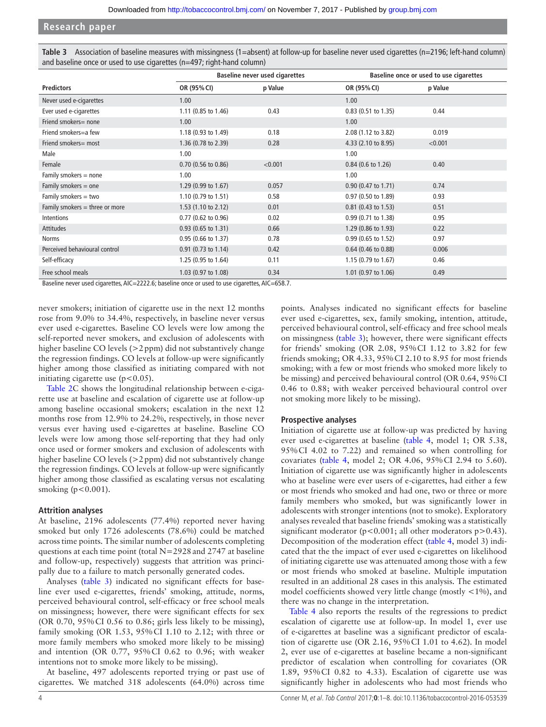<span id="page-4-0"></span>

| Table 3 Association of baseline measures with missingness (1=absent) at follow-up for baseline never used cigarettes (n=2196; left-hand column) |
|-------------------------------------------------------------------------------------------------------------------------------------------------|
| and baseline once or used to use cigarettes (n=497; right-hand column)                                                                          |

|                                  | <b>Baseline never used cigarettes</b> |         | Baseline once or used to use cigarettes |         |
|----------------------------------|---------------------------------------|---------|-----------------------------------------|---------|
| <b>Predictors</b>                | OR (95% CI)                           | p Value | OR (95% CI)                             | p Value |
| Never used e-cigarettes          | 1.00                                  |         | 1.00                                    |         |
| Ever used e-cigarettes           | 1.11 (0.85 to 1.46)                   | 0.43    | 0.83 (0.51 to 1.35)                     | 0.44    |
| Friend smokers= none             | 1.00                                  |         | 1.00                                    |         |
| Friend smokers=a few             | 1.18 (0.93 to 1.49)                   | 0.18    | 2.08 (1.12 to 3.82)                     | 0.019   |
| Friend smokers= most             | 1.36 (0.78 to 2.39)                   | 0.28    | 4.33 (2.10 to 8.95)                     | < 0.001 |
| Male                             | 1.00                                  |         | 1.00                                    |         |
| Female                           | $0.70$ (0.56 to 0.86)                 | < 0.001 | $0.84$ (0.6 to 1.26)                    | 0.40    |
| Family smokers = none            | 1.00                                  |         | 1.00                                    |         |
| Family smokers $=$ one           | 1.29 (0.99 to 1.67)                   | 0.057   | $0.90$ (0.47 to 1.71)                   | 0.74    |
| Family smokers $=$ two           | 1.10 (0.79 to 1.51)                   | 0.58    | 0.97 (0.50 to 1.89)                     | 0.93    |
| Family smokers $=$ three or more | 1.53 (1.10 to 2.12)                   | 0.01    | $0.81$ (0.43 to 1.53)                   | 0.51    |
| Intentions                       | $0.77$ (0.62 to 0.96)                 | 0.02    | 0.99 (0.71 to 1.38)                     | 0.95    |
| <b>Attitudes</b>                 | $0.93$ (0.65 to 1.31)                 | 0.66    | 1.29 (0.86 to 1.93)                     | 0.22    |
| Norms                            | $0.95(0.66 \text{ to } 1.37)$         | 0.78    | 0.99 (0.65 to 1.52)                     | 0.97    |
| Perceived behavioural control    | $0.91$ (0.73 to 1.14)                 | 0.42    | 0.64 (0.46 to 0.88)                     | 0.006   |
| Self-efficacy                    | 1.25 (0.95 to 1.64)                   | 0.11    | 1.15 (0.79 to 1.67)                     | 0.46    |
| Free school meals<br>.           | 1.03 (0.97 to 1.08)                   | 0.34    | 1.01 (0.97 to 1.06)                     | 0.49    |

Baseline never used cigarettes, AIC=2222.6; baseline once or used to use cigarettes, AIC=658.7.

never smokers; initiation of cigarette use in the next 12 months rose from 9.0% to 34.4%, respectively, in baseline never versus ever used e-cigarettes. Baseline CO levels were low among the self-reported never smokers, and exclusion of adolescents with higher baseline CO levels (>2ppm) did not substantively change the regression findings. CO levels at follow-up were significantly higher among those classified as initiating compared with not initiating cigarette use  $(p<0.05)$ .

[Table](#page-3-0) 2C shows the longitudinal relationship between e-cigarette use at baseline and escalation of cigarette use at follow-up among baseline occasional smokers; escalation in the next 12 months rose from 12.9% to 24.2%, respectively, in those never versus ever having used e-cigarettes at baseline. Baseline CO levels were low among those self-reporting that they had only once used or former smokers and exclusion of adolescents with higher baseline CO levels (>2ppm) did not substantively change the regression findings. CO levels at follow-up were significantly higher among those classified as escalating versus not escalating smoking (p<0.001).

#### **Attrition analyses**

At baseline, 2196 adolescents (77.4%) reported never having smoked but only 1726 adolescents (78.6%) could be matched across time points. The similar number of adolescents completing questions at each time point (total N=2928and 2747 at baseline and follow-up, respectively) suggests that attrition was principally due to a failure to match personally generated codes.

Analyses [\(table](#page-4-0) 3) indicated no significant effects for baseline ever used e-cigarettes, friends' smoking, attitude, norms, perceived behavioural control, self-efficacy or free school meals on missingness; however, there were significant effects for sex (OR 0.70, 95%CI 0.56 to 0.86; girls less likely to be missing), family smoking (OR 1.53, 95%CI 1.10 to 2.12; with three or more family members who smoked more likely to be missing) and intention (OR 0.77, 95%CI 0.62 to 0.96; with weaker intentions not to smoke more likely to be missing).

At baseline, 497 adolescents reported trying or past use of cigarettes. We matched 318 adolescents (64.0%) across time

points. Analyses indicated no significant effects for baseline ever used e-cigarettes, sex, family smoking, intention, attitude, perceived behavioural control, self-efficacy and free school meals on missingness ([table](#page-4-0) 3); however, there were significant effects for friends' smoking (OR 2.08, 95%CI 1.12 to 3.82 for few friends smoking; OR 4.33, 95%CI 2.10 to 8.95 for most friends smoking; with a few or most friends who smoked more likely to be missing) and perceived behavioural control (OR 0.64, 95%CI 0.46 to 0.88; with weaker perceived behavioural control over not smoking more likely to be missing).

#### **Prospective analyses**

Initiation of cigarette use at follow-up was predicted by having ever used e-cigarettes at baseline [\(table](#page-5-0) 4, model 1; OR 5.38, 95%CI 4.02 to 7.22) and remained so when controlling for covariates ([table](#page-5-0) 4, model 2; OR 4.06, 95%CI 2.94 to 5.60). Initiation of cigarette use was significantly higher in adolescents who at baseline were ever users of e-cigarettes, had either a few or most friends who smoked and had one, two or three or more family members who smoked, but was significantly lower in adolescents with stronger intentions (not to smoke). Exploratory analyses revealed that baseline friends' smoking was a statistically significant moderator ( $p < 0.001$ ; all other moderators  $p > 0.43$ ). Decomposition of the moderation effect [\(table](#page-5-0) 4, model 3) indicated that the the impact of ever used e-cigarettes on likelihood of initiating cigarette use was attenuated among those with a few or most friends who smoked at baseline. Multiple imputation resulted in an additional 28 cases in this analysis. The estimated model coefficients showed very little change (mostly <1%), and there was no change in the interpretation.

[Table](#page-5-0) 4 also reports the results of the regressions to predict escalation of cigarette use at follow-up. In model 1, ever use of e-cigarettes at baseline was a significant predictor of escalation of cigarette use (OR 2.16, 95%CI 1.01 to 4.62). In model 2, ever use of e-cigarettes at baseline became a non-significant predictor of escalation when controlling for covariates (OR 1.89, 95%CI 0.82 to 4.33). Escalation of cigarette use was significantly higher in adolescents who had most friends who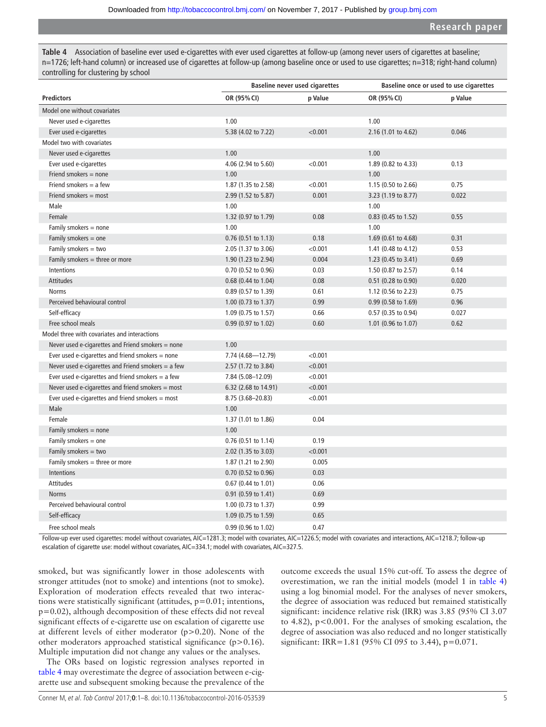<span id="page-5-0"></span>**Table 4** Association of baseline ever used e-cigarettes with ever used cigarettes at follow-up (among never users of cigarettes at baseline; n=1726; left-hand column) or increased use of cigarettes at follow-up (among baseline once or used to use cigarettes; n=318; right-hand column) controlling for clustering by school

|                                                      | <b>Baseline never used cigarettes</b> |         | Baseline once or used to use cigarettes |         |
|------------------------------------------------------|---------------------------------------|---------|-----------------------------------------|---------|
| <b>Predictors</b>                                    | OR (95% CI)                           | p Value | OR (95% CI)                             | p Value |
| Model one without covariates                         |                                       |         |                                         |         |
| Never used e-cigarettes                              | 1.00                                  |         | 1.00                                    |         |
| Ever used e-cigarettes                               | 5.38 (4.02 to 7.22)                   | < 0.001 | 2.16 (1.01 to 4.62)                     | 0.046   |
| Model two with covariates                            |                                       |         |                                         |         |
| Never used e-cigarettes                              | 1.00                                  |         | 1.00                                    |         |
| Ever used e-cigarettes                               | 4.06 (2.94 to 5.60)                   | < 0.001 | 1.89 (0.82 to 4.33)                     | 0.13    |
| Friend smokers $=$ none                              | 1.00                                  |         | 1.00                                    |         |
| Friend smokers $=$ a few                             | 1.87 (1.35 to 2.58)                   | < 0.001 | 1.15 (0.50 to 2.66)                     | 0.75    |
| Friend smokers $=$ most                              | 2.99 (1.52 to 5.87)                   | 0.001   | 3.23 (1.19 to 8.77)                     | 0.022   |
| Male                                                 | 1.00                                  |         | 1.00                                    |         |
| Female                                               | 1.32 (0.97 to 1.79)                   | 0.08    | 0.83 (0.45 to 1.52)                     | 0.55    |
| Family smokers = none                                | 1.00                                  |         | 1.00                                    |         |
| Family smokers $=$ one                               | $0.76$ (0.51 to 1.13)                 | 0.18    | 1.69 (0.61 to 4.68)                     | 0.31    |
| Family smokers $=$ two                               | 2.05 (1.37 to 3.06)                   | < 0.001 | 1.41 (0.48 to 4.12)                     | 0.53    |
| Family smokers $=$ three or more                     | 1.90 (1.23 to 2.94)                   | 0.004   | 1.23 (0.45 to 3.41)                     | 0.69    |
| Intentions                                           | 0.70 (0.52 to 0.96)                   | 0.03    | 1.50 (0.87 to 2.57)                     | 0.14    |
| <b>Attitudes</b>                                     | 0.68 (0.44 to 1.04)                   | 0.08    | 0.51 (0.28 to 0.90)                     | 0.020   |
| <b>Norms</b>                                         | 0.89 (0.57 to 1.39)                   | 0.61    | 1.12 (0.56 to 2.23)                     | 0.75    |
| Perceived behavioural control                        | 1.00 (0.73 to 1.37)                   | 0.99    | 0.99 (0.58 to 1.69)                     | 0.96    |
| Self-efficacy                                        | 1.09 (0.75 to 1.57)                   | 0.66    | 0.57 (0.35 to 0.94)                     | 0.027   |
| Free school meals                                    | 0.99 (0.97 to 1.02)                   | 0.60    | 1.01 (0.96 to 1.07)                     | 0.62    |
| Model three with covariates and interactions         |                                       |         |                                         |         |
| Never used e-cigarettes and Friend smokers = none    | 1.00                                  |         |                                         |         |
| Ever used e-cigarettes and friend smokers = none     | 7.74 (4.68-12.79)                     | < 0.001 |                                         |         |
| Never used e-cigarettes and Friend smokers $=$ a few | 2.57 (1.72 to 3.84)                   | < 0.001 |                                         |         |
| Ever used e-cigarettes and friend smokers $=$ a few  | 7.84 (5.08-12.09)                     | < 0.001 |                                         |         |
| Never used e-cigarettes and friend smokers = most    | 6.32 (2.68 to 14.91)                  | < 0.001 |                                         |         |
| Ever used e-cigarettes and friend smokers $=$ most   | 8.75 (3.68-20.83)                     | < 0.001 |                                         |         |
| Male                                                 | 1.00                                  |         |                                         |         |
| Female                                               | 1.37 (1.01 to 1.86)                   | 0.04    |                                         |         |
| Family smokers $=$ none                              | 1.00                                  |         |                                         |         |
| Family smokers $=$ one                               | 0.76 (0.51 to 1.14)                   | 0.19    |                                         |         |
| Family smokers $=$ two                               | 2.02 (1.35 to 3.03)                   | < 0.001 |                                         |         |
| Family smokers $=$ three or more                     | 1.87 (1.21 to 2.90)                   | 0.005   |                                         |         |
| Intentions                                           | 0.70 (0.52 to 0.96)                   | 0.03    |                                         |         |
| <b>Attitudes</b>                                     | 0.67 (0.44 to 1.01)                   | 0.06    |                                         |         |
| <b>Norms</b>                                         | 0.91 (0.59 to 1.41)                   | 0.69    |                                         |         |
| Perceived behavioural control                        | 1.00 (0.73 to 1.37)                   | 0.99    |                                         |         |
| Self-efficacy                                        | 1.09 (0.75 to 1.59)                   | 0.65    |                                         |         |
| Free school meals                                    | 0.99 (0.96 to 1.02)                   | 0.47    |                                         |         |

Follow-up ever used cigarettes: model without covariates, AIC=1281.3; model with covariates, AIC=1226.5; model with covariates and interactions, AIC=1218.7; follow-up escalation of cigarette use: model without covariates, AIC=334.1; model with covariates, AIC=327.5.

smoked, but was significantly lower in those adolescents with stronger attitudes (not to smoke) and intentions (not to smoke). Exploration of moderation effects revealed that two interactions were statistically significant (attitudes, p=0.01; intentions, p=0.02), although decomposition of these effects did not reveal significant effects of e-cigarette use on escalation of cigarette use at different levels of either moderator (p>0.20). None of the other moderators approached statistical significance  $(p>0.16)$ . Multiple imputation did not change any values or the analyses.

The ORs based on logistic regression analyses reported in [table](#page-5-0) 4 may overestimate the degree of association between e-cigarette use and subsequent smoking because the prevalence of the

outcome exceeds the usual 15% cut-off. To assess the degree of overestimation, we ran the initial models (model 1 in [table](#page-5-0) 4) using a log binomial model. For the analyses of never smokers, the degree of association was reduced but remained statistically significant: incidence relative risk (IRR) was 3.85 (95% CI 3.07 to 4.82), p<0.001. For the analyses of smoking escalation, the degree of association was also reduced and no longer statistically significant: IRR=1.81 (95% CI 095 to 3.44), p=0.071.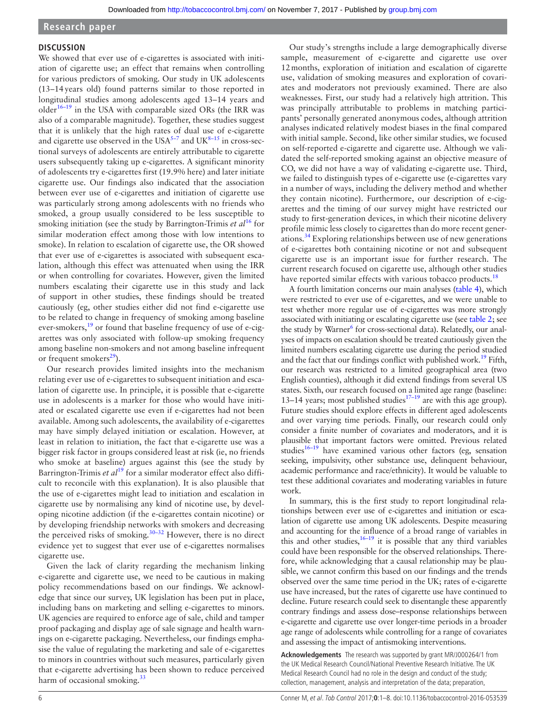#### **Discussion**

We showed that ever use of e-cigarettes is associated with initiation of cigarette use; an effect that remains when controlling for various predictors of smoking. Our study in UK adolescents (13–14years old) found patterns similar to those reported in longitudinal studies among adolescents aged 13–14 years and  $older<sup>16-19</sup>$  in the USA with comparable sized ORs (the IRR was also of a comparable magnitude). Together, these studies suggest that it is unlikely that the high rates of dual use of e-cigarette and cigarette use observed in the USA<sup>5-7</sup> and UK<sup>8-15</sup> in cross-sectional surveys of adolescents are entirely attributable to cigarette users subsequently taking up e-cigarettes. A significant minority of adolescents try e-cigarettes first (19.9% here) and later initiate cigarette use. Our findings also indicated that the association between ever use of e-cigarettes and initiation of cigarette use was particularly strong among adolescents with no friends who smoked, a group usually considered to be less susceptible to smoking initiation (see the study by Barrington-Trimis *et al*[16](#page-7-4) for similar moderation effect among those with low intentions to smoke). In relation to escalation of cigarette use, the OR showed that ever use of e-cigarettes is associated with subsequent escalation, although this effect was attenuated when using the IRR or when controlling for covariates. However, given the limited numbers escalating their cigarette use in this study and lack of support in other studies, these findings should be treated cautiously (eg, other studies either did not find e-cigarette use to be related to change in frequency of smoking among baseline ever-smokers,<sup>19</sup> or found that baseline frequency of use of e-cigarettes was only associated with follow-up smoking frequency among baseline non-smokers and not among baseline infrequent or frequent smokers $^{29}$  $^{29}$  $^{29}$ ).

Our research provides limited insights into the mechanism relating ever use of e-cigarettes to subsequent initiation and escalation of cigarette use. In principle, it is possible that e-cigarette use in adolescents is a marker for those who would have initiated or escalated cigarette use even if e-cigarettes had not been available. Among such adolescents, the availability of e-cigarettes may have simply delayed initiation or escalation. However, at least in relation to initiation, the fact that e-cigarette use was a bigger risk factor in groups considered least at risk (ie, no friends who smoke at baseline) argues against this (see the study by Barrington-Trimis *et al*<sup>[19](#page-7-6)</sup> for a similar moderator effect also difficult to reconcile with this explanation). It is also plausible that the use of e-cigarettes might lead to initiation and escalation in cigarette use by normalising any kind of nicotine use, by developing nicotine addiction (if the e-cigarettes contain nicotine) or by developing friendship networks with smokers and decreasing the perceived risks of smoking. $30-32$  However, there is no direct evidence yet to suggest that ever use of e-cigarettes normalises cigarette use.

Given the lack of clarity regarding the mechanism linking e-cigarette and cigarette use, we need to be cautious in making policy recommendations based on our findings. We acknowledge that since our survey, UK legislation has been put in place, including bans on marketing and selling e-cigarettes to minors. UK agencies are required to enforce age of sale, child and tamper proof packaging and display age of sale signage and health warnings on e-cigarette packaging. Nevertheless, our findings emphasise the value of regulating the marketing and sale of e-cigarettes to minors in countries without such measures, particularly given that e-cigarette advertising has been shown to reduce perceived harm of occasional smoking.<sup>33</sup>

Our study's strengths include a large demographically diverse sample, measurement of e-cigarette and cigarette use over 12months, exploration of initiation and escalation of cigarette use, validation of smoking measures and exploration of covariates and moderators not previously examined. There are also weaknesses. First, our study had a relatively high attrition. This was principally attributable to problems in matching participants' personally generated anonymous codes, although attrition analyses indicated relatively modest biases in the final compared with initial sample. Second, like other similar studies, we focused on self-reported e-cigarette and cigarette use. Although we validated the self-reported smoking against an objective measure of CO, we did not have a way of validating e-cigarette use. Third, we failed to distinguish types of e-cigarette use (e-cigarettes vary in a number of ways, including the delivery method and whether they contain nicotine). Furthermore, our description of e-cigarettes and the timing of our survey might have restricted our study to first-generation devices, in which their nicotine delivery profile mimic less closely to cigarettes than do more recent generations.<sup>34</sup> Exploring relationships between use of new generations of e-cigarettes both containing nicotine or not and subsequent cigarette use is an important issue for further research. The current research focused on cigarette use, although other studies have reported similar effects with various tobacco products.<sup>18</sup>

A fourth limitation concerns our main analyses [\(table](#page-5-0) 4), which were restricted to ever use of e-cigarettes, and we were unable to test whether more regular use of e-cigarettes was more strongly associated with initiating or escalating cigarette use (see [table](#page-3-0) 2; see the study by Warner<sup>6</sup> for cross-sectional data). Relatedly, our analyses of impacts on escalation should be treated cautiously given the limited numbers escalating cigarette use during the period studied and the fact that our findings conflict with published work.<sup>19</sup> Fifth, our research was restricted to a limited geographical area (two English counties), although it did extend findings from several US states. Sixth, our research focused on a limited age range (baseline: 13–14 years; most published studies $17-19$  are with this age group). Future studies should explore effects in different aged adolescents and over varying time periods. Finally, our research could only consider a finite number of covariates and moderators, and it is plausible that important factors were omitted. Previous related studies $16-19$  have examined various other factors (eg, sensation seeking, impulsivity, other substance use, delinquent behaviour, academic performance and race/ethnicity). It would be valuable to test these additional covariates and moderating variables in future work.

In summary, this is the first study to report longitudinal relationships between ever use of e-cigarettes and initiation or escalation of cigarette use among UK adolescents. Despite measuring and accounting for the influence of a broad range of variables in this and other studies,  $16-19$  it is possible that any third variables could have been responsible for the observed relationships. Therefore, while acknowledging that a causal relationship may be plausible, we cannot confirm this based on our findings and the trends observed over the same time period in the UK; rates of e-cigarette use have increased, but the rates of cigarette use have continued to decline. Future research could seek to disentangle these apparently contrary findings and assess dose–response relationships between e-cigarette and cigarette use over longer-time periods in a broader age range of adolescents while controlling for a range of covariates and assessing the impact of antismoking interventions.

**Acknowledgements** The research was supported by grant MR/J000264/1 from the UK Medical Research Council/National Preventive Research Initiative. The UK Medical Research Council had no role in the design and conduct of the study; collection, management, analysis and interpretation of the data; preparation,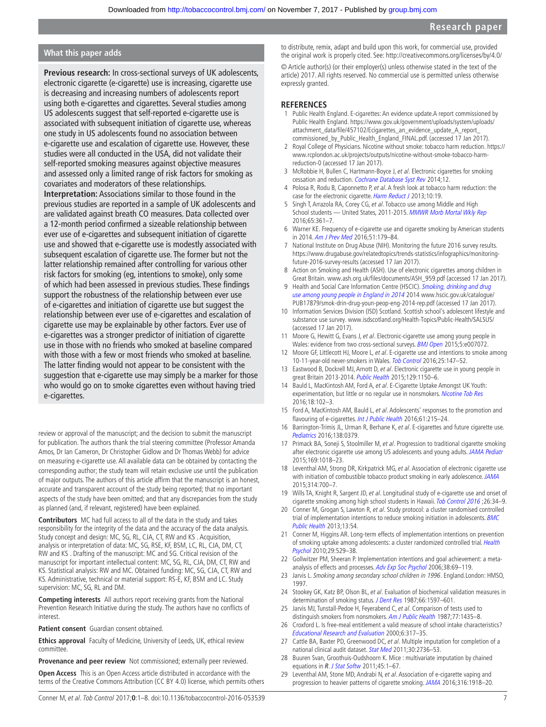## **What this paper adds**

**Previous research:** In cross-sectional surveys of UK adolescents, electronic cigarette (e-cigarette) use is increasing, cigarette use is decreasing and increasing numbers of adolescents report using both e-cigarettes and cigarettes. Several studies among US adolescents suggest that self-reported e-cigarette use is associated with subsequent initiation of cigarette use, whereas one study in US adolescents found no association between e-cigarette use and escalation of cigarette use. However, these studies were all conducted in the USA, did not validate their self-reported smoking measures against objective measures and assessed only a limited range of risk factors for smoking as covariates and moderators of these relationships. **Interpretation:** Associations similar to those found in the previous studies are reported in a sample of UK adolescents and are validated against breath CO measures. Data collected over a 12-month period confirmed a sizeable relationship between ever use of e-cigarettes and subsequent initiation of cigarette use and showed that e-cigarette use is modestly associated with subsequent escalation of cigarette use. The former but not the latter relationship remained after controlling for various other risk factors for smoking (eg, intentions to smoke), only some of which had been assessed in previous studies. These findings support the robustness of the relationship between ever use of e-cigarettes and initiation of cigarette use but suggest the relationship between ever use of e-cigarettes and escalation of cigarette use may be explainable by other factors. Ever use of e-cigarettes was a stronger predictor of initiation of cigarette use in those with no friends who smoked at baseline compared with those with a few or most friends who smoked at baseline. The latter finding would not appear to be consistent with the suggestion that e-cigarette use may simply be a marker for those who would go on to smoke cigarettes even without having tried e-cigarettes.

review or approval of the manuscript; and the decision to submit the manuscript for publication. The authors thank the trial steering committee (Professor Amanda Amos, Dr Ian Cameron, Dr Christopher Gidlow and Dr Thomas Webb) for advice on measuring e-cigarette use. All available data can be obtained by contacting the corresponding author; the study team will retain exclusive use until the publication of major outputs. The authors of this article affirm that the manuscript is an honest, accurate and transparent account of the study being reported; that no important aspects of the study have been omitted; and that any discrepancies from the study as planned (and, if relevant, registered) have been explained.

**Contributors** MC had full access to all of the data in the study and takes responsibility for the integrity of the data and the accuracy of the data analysis. Study concept and design: MC, SG, RL, CJA, CT, RW and KS . Acquisition, analysis or interpretation of data: MC, SG, RSE, KF, BSM, LC, RL, CJA, DM, CT, RW and KS . Drafting of the manuscript: MC and SG. Critical revision of the manuscript for important intellectual content: MC, SG, RL, CJA, DM, CT, RW and KS. Statistical analysis: RW and MC. Obtained funding: MC, SG, CJA, CT, RW and KS. Administrative, technical or material support: RS-E, KF, BSM and LC. Study supervision: MC, SG, RL and DM.

**Competing interests** All authors report receiving grants from the National Prevention Research Initiative during the study. The authors have no conflicts of interest.

**Patient consent** Guardian consent obtained.

**Ethics approval** Faculty of Medicine, University of Leeds, UK, ethical review committee.

**Provenance and peer review** Not commissioned; externally peer reviewed.

**Open Access** This is an Open Access article distributed in accordance with the terms of the Creative Commons Attribution (CC BY 4.0) license, which permits others to distribute, remix, adapt and build upon this work, for commercial use, provided the original work is properly cited. See:<http://creativecommons.org/licenses/by/4.0/>

© Article author(s) (or their employer(s) unless otherwise stated in the text of the article) 2017. All rights reserved. No commercial use is permitted unless otherwise expressly granted.

#### **References**

- <span id="page-7-0"></span>1 Public Health England. E-cigarettes: An evidence update.A report commissioned by Public Health England. [https://www.gov.uk/government/uploads/system/uploads/](https://www.gov.uk/government/uploads/system/uploads/attachment_data/file/457102/Ecigarettes_an_evidence_update_A_report_commissioned_by_Public_Health_England_FINAL.pdf) [attachment\\_data/file/457102/Ecigarettes\\_an\\_evidence\\_update\\_A\\_report\\_](https://www.gov.uk/government/uploads/system/uploads/attachment_data/file/457102/Ecigarettes_an_evidence_update_A_report_commissioned_by_Public_Health_England_FINAL.pdf) [commissioned\\_by\\_Public\\_Health\\_England\\_FINAL.pdf](https://www.gov.uk/government/uploads/system/uploads/attachment_data/file/457102/Ecigarettes_an_evidence_update_A_report_commissioned_by_Public_Health_England_FINAL.pdf). (accessed 17 Jan 2017).
- <span id="page-7-1"></span>2 Royal College of Physicians. Nicotine without smoke: tobacco harm reduction. [https://](https://www.rcplondon.ac.uk/projects/outputs/nicotine-without-smoke-tobacco-harm-reduction-0) [www.rcplondon.ac.uk/projects/outputs/nicotine-without-smoke-tobacco-harm](https://www.rcplondon.ac.uk/projects/outputs/nicotine-without-smoke-tobacco-harm-reduction-0)[reduction-0](https://www.rcplondon.ac.uk/projects/outputs/nicotine-without-smoke-tobacco-harm-reduction-0) (accessed 17 Jan 2017).
- 3 McRobbie H, Bullen C, Hartmann-Boyce J, et al. Electronic cigarettes for smoking cessation and reduction. Cochrane Database Syst Rev 2014;12.
- 4 Polosa R, Rodu B, Caponnetto P, et al. A fresh look at tobacco harm reduction: the case for the electronic cigarette. [Harm Reduct J](http://dx.doi.org/10.1186/1477-7517-10-19) 2013;10:19.
- <span id="page-7-2"></span>5 Singh T, Arrazola RA, Corey CG, et al. Tobacco use among Middle and High School students - United States, 2011-2015. [MMWR Morb Mortal Wkly Rep](http://dx.doi.org/10.15585/mmwr.mm6514a1) 2016;65:361–7.
- <span id="page-7-17"></span>6 Warner KE. Frequency of e-cigarette use and cigarette smoking by American students in 2014. [Am J Prev Med](http://dx.doi.org/10.1016/j.amepre.2015.12.004) 2016;51:179–84.
- 7 National Institute on Drug Abuse (NIH). Monitoring the future 2016 survey results. [https://www.drugabuse.gov/relatedtopics/trends-statistics/infographics/monitoring](https://www.drugabuse.gov/relatedtopics/trends-statistics/infographics/monitoring-future-2016-survey-results)[future-2016-survey-results](https://www.drugabuse.gov/relatedtopics/trends-statistics/infographics/monitoring-future-2016-survey-results) (accessed 17 Jan 2017).
- <span id="page-7-3"></span>8 Action on Smoking and Health (ASH). Use of electronic cigarettes among children in Great Britain. [www.ash.org.uk/files/documents/ASH\\_959.pdf](www.ash.org.uk/files/documents/ASH_959.pdf) (accessed 17 Jan 2017).
- 9 Health and Social Care Information Centre (HSCIC). Smoking, drinking and drug use among young people in England in 2014 2014 [www.hscic.gov.uk/catalogue/](www.hscic.gov.uk/catalogue/PUB17879/smok-drin-drug-youn-peop-eng-2014-rep.pdf) [PUB17879/smok-drin-drug-youn-peop-eng-2014-rep.pdf](www.hscic.gov.uk/catalogue/PUB17879/smok-drin-drug-youn-peop-eng-2014-rep.pdf) (accessed 17 Jan 2017).
- 10 Information Services Division (ISD) Scotland. Scottish school's adolescent lifestyle and substance use survey. <www.isdscotland.org/Health-Topics/Public-Health/SALSUS/> (accessed 17 Jan 2017).
- 11 Moore G, Hewitt G, Evans J, et al. Electronic-cigarette use among young people in Wales: evidence from two cross-sectional surveys. [BMJ Open](http://dx.doi.org/10.1136/bmjopen-2014-007072) 2015;5:e007072.
- 12 Moore GF, Littlecott HJ, Moore L, et al. E-cigarette use and intentions to smoke among 10-11-year-old never-smokers in Wales. [Tob Control](http://dx.doi.org/10.1136/tobaccocontrol-2014-052011) 2016;25:147–52.
- 13 Eastwood B, Dockrell MJ, Arnott D, et al. Electronic cigarette use in young people in great Britain 2013-2014. [Public Health](http://dx.doi.org/10.1016/j.puhe.2015.07.009) 2015;129:1150-6.
- 14 Bauld L, MacKintosh AM, Ford A, et al. E-Cigarette Uptake Amongst UK Youth: experimentation, but little or no regular use in nonsmokers. [Nicotine Tob Res](http://dx.doi.org/10.1093/ntr/ntv132) 2016;18:102–3.
- 15 Ford A, MacKintosh AM, Bauld L, et al. Adolescents' responses to the promotion and flavouring of e-cigarettes. [Int J Public Health](http://dx.doi.org/10.1007/s00038-015-0769-5) 2016;61:215-24.
- <span id="page-7-4"></span>16 Barrington-Trimis JL, Urman R, Berhane K, et al. E-cigarettes and future cigarette use. [Pediatrics](http://dx.doi.org/10.1542/peds.2016-0379) 2016;138:0379.
- <span id="page-7-5"></span>17 Primack BA, Soneji S, Stoolmiller M, et al. Progression to traditional cigarette smoking after electronic cigarette use among US adolescents and young adults. [JAMA Pediatr](http://dx.doi.org/10.1001/jamapediatrics.2015.1742) 2015;169:1018–23.
- <span id="page-7-16"></span>18 Leventhal AM, Strong DR, Kirkpatrick MG, et al. Association of electronic cigarette use with initiation of combustible tobacco product smoking in early adolescence. [JAMA](http://dx.doi.org/10.1001/jama.2015.8950) 2015;314:700–7.
- <span id="page-7-6"></span>19 Wills TA, Knight R, Sargent JD, et al. Longitudinal study of e-cigarette use and onset of cigarette smoking among high school students in Hawaii. [Tob Control 2016](http://dx.doi.org/10.1136/tobaccocontrol-2015-052705) ;26:34–9.
- <span id="page-7-7"></span>20 Conner M, Grogan S, Lawton R, et al. Study protocol: a cluster randomised controlled trial of implementation intentions to reduce smoking initiation in adolescents. [BMC](http://dx.doi.org/10.1186/1471-2458-13-54)  [Public Health](http://dx.doi.org/10.1186/1471-2458-13-54) 2013;13:54.
- <span id="page-7-12"></span>21 Conner M, Higgins AR. Long-term effects of implementation intentions on prevention of smoking uptake among adolescents: a cluster randomized controlled trial. [Health](http://dx.doi.org/10.1037/a0020317)  [Psychol](http://dx.doi.org/10.1037/a0020317) 2010;29:529–38.
- <span id="page-7-8"></span>22 Gollwitzer PM, Sheeran P. Implementation intentions and goal achievement: a metaanalysis of effects and processes. Adv Exp Soc Psychol 2006;38:69-119.
- <span id="page-7-9"></span>23 Jarvis L. Smoking among secondary school children in 1996. England.London: HMSO, 1997.
- <span id="page-7-10"></span>24 Stookey GK, Katz BP, Olson BL, et al. Evaluation of biochemical validation measures in determination of smoking status. [J Dent Res](http://dx.doi.org/10.1177/00220345870660101801) 1987;66:1597-601.
- 25 Jarvis MJ, Tunstall-Pedoe H, Feyerabend C, et al. Comparison of tests used to distinguish smokers from nonsmokers. [Am J Public Health](http://dx.doi.org/10.2105/AJPH.77.11.1435) 1987;77:1435-8.
- <span id="page-7-11"></span>26 Croxford L. Is free-meal entitlement a valid measure of school intake characteristics? [Educational Research and Evaluation](http://dx.doi.org/10.1076/edre.6.4.317.6933) 2000;6:317–35.
- <span id="page-7-13"></span>27 Cattle BA, Baxter PD, Greenwood DC, et al. Multiple imputation for completion of a national clinical audit dataset. [Stat Med](http://dx.doi.org/10.1002/sim.4314) 2011;30:2736–53.
- <span id="page-7-14"></span>28 Buuren Svan, Groothuis-Oudshoorn K. Mice : multivariate imputation by chained equations in *R*. [J Stat Softw](http://dx.doi.org/10.18637/jss.v045.i03) 2011;45:1–67.
- <span id="page-7-15"></span>29 Leventhal AM, Stone MD, Andrabi N, et al. Association of e-cigarette vaping and progression to heavier patterns of cigarette smoking. [JAMA](http://dx.doi.org/10.1001/jama.2016.14649) 2016;316:1918–20.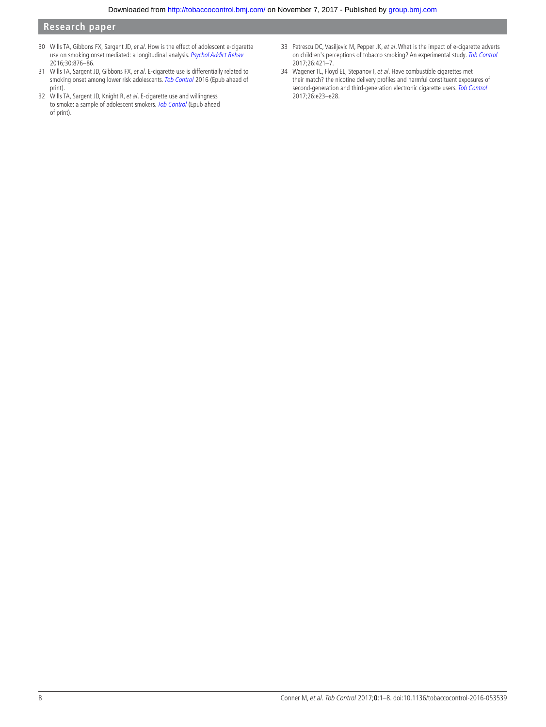- <span id="page-8-0"></span>30 Wills TA, Gibbons FX, Sargent JD, et al. How is the effect of adolescent e-cigarette use on smoking onset mediated: a longitudinal analysis. [Psychol Addict Behav](http://dx.doi.org/10.1037/adb0000213) 2016;30:876–86.
- 31 Wills TA, Sargent JD, Gibbons FX, et al. E-cigarette use is differentially related to smoking onset among lower risk adolescents. [Tob Control](http://dx.doi.org/10.1136/tobaccocontrol-2016-053116) 2016 (Epub ahead of print).
- 32 Wills TA, Sargent JD, Knight R, et al. E-cigarette use and willingness to smoke: a sample of adolescent smokers. Tob Control (Epub ahead of print).
- <span id="page-8-1"></span>33 Petrescu DC, Vasiljevic M, Pepper JK, et al. What is the impact of e-cigarette adverts on children's perceptions of tobacco smoking? An experimental study. [Tob Control](http://dx.doi.org/10.1136/tobaccocontrol-2016-052940) 2017;26:421–7.
- <span id="page-8-2"></span>34 Wagener TL, Floyd EL, Stepanov I, et al. Have combustible cigarettes met their match? the nicotine delivery profiles and harmful constituent exposures of second-generation and third-generation electronic cigarette users. [Tob Control](http://dx.doi.org/10.1136/tobaccocontrol-2016-053041) 2017;26:e23–e28.